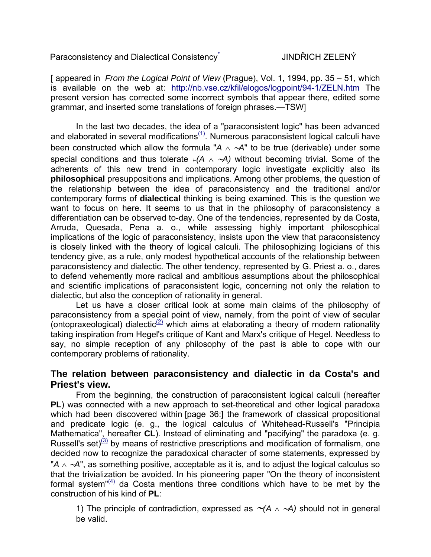Paraconsistency and Dialectical Consistency-

[ appeared in *From the Logical Point of View* (Prague), Vol. 1, 1994, pp. 35 – 51, which is available on the web at: http://nb.vse.cz/kfil/elogos/logpoint/94-1/ZELN.htm The present version has corrected some incorrect symbols that appear there, edited some grammar, and inserted some translations of foreign phrases.—TSW]

 In the last two decades, the idea of a "paraconsistent logic" has been advanced and elaborated in several modifications $(1)$ . Numerous paraconsistent logical calculi have been constructed which allow the formula "*A* ∧ <sup>∼</sup>*A*" to be true (derivable) under some special conditions and thus tolerate  $(A \wedge \neg A)$  without becoming trivial. Some of the adherents of this new trend in contemporary logic investigate explicitly also its **philosophical** presuppositions and implications. Among other problems, the question of the relationship between the idea of paraconsistency and the traditional and/or contemporary forms of **dialectical** thinking is being examined. This is the question we want to focus on here. It seems to us that in the philosophy of paraconsistency a differentiation can be observed to-day. One of the tendencies, represented by da Costa, Arruda, Quesada, Pena a. o., while assessing highly important philosophical implications of the logic of paraconsistency, insists upon the view that paraconsistency is closely linked with the theory of logical calculi. The philosophizing logicians of this tendency give, as a rule, only modest hypothetical accounts of the relationship between paraconsistency and dialectic. The other tendency, represented by G. Priest a. o., dares to defend vehemently more radical and ambitious assumptions about the philosophical and scientific implications of paraconsistent logic, concerning not only the relation to dialectic, but also the conception of rationality in general.

 Let us have a closer critical look at some main claims of the philosophy of paraconsistency from a special point of view, namely, from the point of view of secular (ontopraxeological) dialectic $(2)$  which aims at elaborating a theory of modern rationality taking inspiration from Hegel's critique of Kant and Marx's critique of Hegel. Needless to say, no simple reception of any philosophy of the past is able to cope with our contemporary problems of rationality.

## **The relation between paraconsistency and dialectic in da Costa's and Priest's view.**

 From the beginning, the construction of paraconsistent logical calculi (hereafter **PL**) was connected with a new approach to set-theoretical and other logical paradoxa which had been discovered within [page 36:] the framework of classical propositional and predicate logic (e. g., the logical calculus of Whitehead-Russell's "Principia Mathematica", hereafter **CL**). Instead of eliminating and "pacifying" the paradoxa (e. g. Russell's set) $(3)$  by means of restrictive prescriptions and modification of formalism, one decided now to recognize the paradoxical character of some statements, expressed by "*A* ∧ <sup>∼</sup>*A*", as something positive, acceptable as it is, and to adjust the logical calculus so that the trivialization be avoided. In his pioneering paper "On the theory of inconsistent formal system" $(4)$  da Costa mentions three conditions which have to be met by the construction of his kind of **PL**:

1) The principle of contradiction, expressed as ∼*(A* ∧ <sup>∼</sup>*A)* should not in general be valid.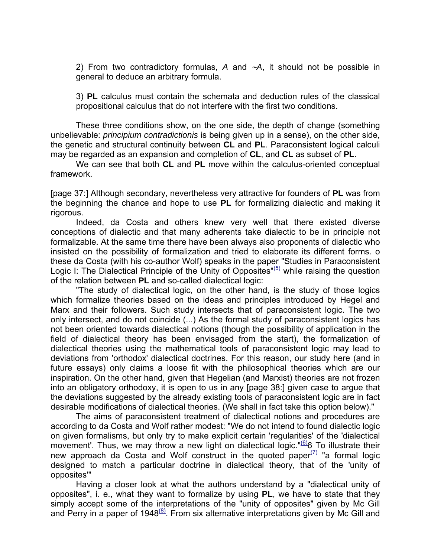2) From two contradictory formulas, *A* and ∼*A*, it should not be possible in general to deduce an arbitrary formula.

3) **PL** calculus must contain the schemata and deduction rules of the classical propositional calculus that do not interfere with the first two conditions.

 These three conditions show, on the one side, the depth of change (something unbelievable: *principium contradictionis* is being given up in a sense), on the other side, the genetic and structural continuity between **CL** and **PL**. Paraconsistent logical calculi may be regarded as an expansion and completion of **CL**, and **CL** as subset of **PL**.

We can see that both **CL** and **PL** move within the calculus-oriented conceptual framework.

[page 37:] Although secondary, nevertheless very attractive for founders of **PL** was from the beginning the chance and hope to use **PL** for formalizing dialectic and making it rigorous.

 Indeed, da Costa and others knew very well that there existed diverse conceptions of dialectic and that many adherents take dialectic to be in principle not formalizable. At the same time there have been always also proponents of dialectic who insisted on the possibility of formalization and tried to elaborate its different forms. o these da Costa (with his co-author Wolf) speaks in the paper "Studies in Paraconsistent Logic I: The Dialectical Principle of the Unity of Opposites"<sup>(5)</sup> while raising the question of the relation between **PL** and so-called dialectical logic:

"The study of dialectical logic, on the other hand, is the study of those logics which formalize theories based on the ideas and principles introduced by Hegel and Marx and their followers. Such study intersects that of paraconsistent logic. The two only intersect, and do not coincide (...) As the formal study of paraconsistent logics has not been oriented towards dialectical notions (though the possibility of application in the field of dialectical theory has been envisaged from the start), the formalization of dialectical theories using the mathematical tools of paraconsistent logic may lead to deviations from 'orthodox' dialectical doctrines. For this reason, our study here (and in future essays) only claims a loose fit with the philosophical theories which are our inspiration. On the other hand, given that Hegelian (and Marxist) theories are not frozen into an obligatory orthodoxy, it is open to us in any [page 38:] given case to argue that the deviations suggested by the already existing tools of paraconsistent logic are in fact desirable modifications of dialectical theories. (We shall in fact take this option below)."

The aims of paraconsistent treatment of dialectical notions and procedures are according to da Costa and Wolf rather modest: "We do not intend to found dialectic logic on given formalisms, but only try to make explicit certain 'regularities' of the 'dialectical movement'. Thus, we may throw a new light on dialectical logic." $66$  To illustrate their new approach da Costa and Wolf construct in the quoted paper $(7)$  "a formal logic designed to match a particular doctrine in dialectical theory, that of the 'unity of opposites'"

 Having a closer look at what the authors understand by a "dialectical unity of opposites", i. e., what they want to formalize by using **PL**, we have to state that they simply accept some of the interpretations of the "unity of opposites" given by Mc Gill and Perry in a paper of  $1948<sup>(8)</sup>$ . From six alternative interpretations given by Mc Gill and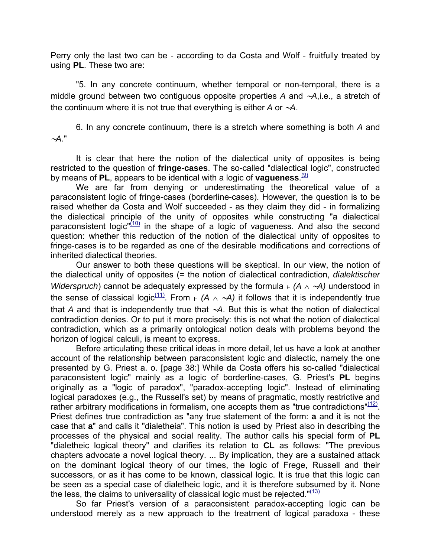Perry only the last two can be - according to da Costa and Wolf - fruitfully treated by using **PL**. These two are:

"5. In any concrete continuum, whether temporal or non-temporal, there is a middle ground between two contiguous opposite properties *A* and ∼*A*,i.e., a stretch of the continuum where it is not true that everything is either *A* or ∼*A*.

6. In any concrete continuum, there is a stretch where something is both *A* and <sup>∼</sup>*A*."

 It is clear that here the notion of the dialectical unity of opposites is being restricted to the question of **fringe-cases**. The so-called "dialectical logic", constructed by means of PL, appears to be identical with a logic of **vagueness**.<sup>(9)</sup>

We are far from denying or underestimating the theoretical value of a paraconsistent logic of fringe-cases (borderline-cases). However, the question is to be raised whether da Costa and Wolf succeeded - as they claim they did - in formalizing the dialectical principle of the unity of opposites while constructing "a dialectical paraconsistent  $logic''(10)$  in the shape of a logic of vagueness. And also the second question: whether this reduction of the notion of the dialectical unity of opposites to fringe-cases is to be regarded as one of the desirable modifications and corrections of inherited dialectical theories.

 Our answer to both these questions will be skeptical. In our view, the notion of the dialectical unity of opposites (= the notion of dialectical contradiction, *dialektischer Widerspruch*) cannot be adequately expressed by the formula  $\vdash$  (*A* ∧ ~*A*) understood in the sense of classical logic<sup>(11)</sup>. From  $\vdash$  (A  $\land$  ~A) it follows that it is independently true that *A* and that is independently true that ∼*A*. But this is what the notion of dialectical contradiction denies. Or to put it more precisely: this is not what the notion of dialectical contradiction, which as a primarily ontological notion deals with problems beyond the horizon of logical calculi, is meant to express.

 Before articulating these critical ideas in more detail, let us have a look at another account of the relationship between paraconsistent logic and dialectic, namely the one presented by G. Priest a. o. [page 38:] While da Costa offers his so-called "dialectical paraconsistent logic" mainly as a logic of borderline-cases, G. Priest's **PL** begins originally as a "logic of paradox", "paradox-accepting logic". Instead of eliminating logical paradoxes (e.g., the Russell's set) by means of pragmatic, mostly restrictive and rather arbitrary modifications in formalism, one accepts them as "true contradictions" $(12)$ . Priest defines true contradiction as "any true statement of the form: **a** and it is not the case that **a**" and calls it "dialetheia". This notion is used by Priest also in describing the processes of the physical and social reality. The author calls his special form of **PL** "dialetheic logical theory" and clarifies its relation to **CL** as follows: "The previous chapters advocate a novel logical theory. ... By implication, they are a sustained attack on the dominant logical theory of our times, the logic of Frege, Russell and their successors, or as it has come to be known, classical logic. It is true that this logic can be seen as a special case of dialetheic logic, and it is therefore subsumed by it. None the less, the claims to universality of classical logic must be rejected." $(13)$ 

So far Priest's version of a paraconsistent paradox-accepting logic can be understood merely as a new approach to the treatment of logical paradoxa - these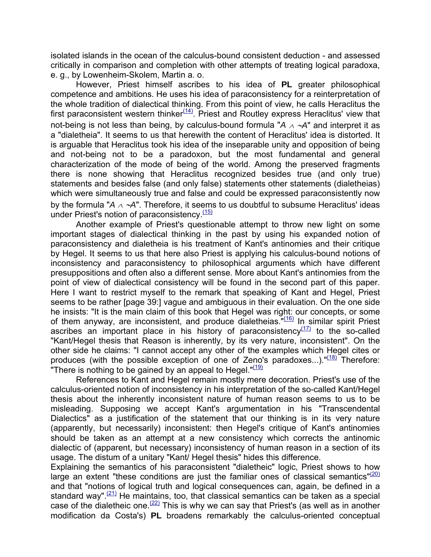isolated islands in the ocean of the calculus-bound consistent deduction - and assessed critically in comparison and completion with other attempts of treating logical paradoxa, e. g., by Lowenheim-Skolem, Martin a. o.

However, Priest himself ascribes to his idea of **PL** greater philosophical competence and ambitions. He uses his idea of paraconsistency for a reinterpretation of the whole tradition of dialectical thinking. From this point of view, he calls Heraclitus the first paraconsistent western thinker $(14)$ . Priest and Routley express Heraclitus' view that not-being is not less than being, by calculus-bound formula "*A* <sup>∧</sup> <sup>∼</sup>*A*" and interpret it as a "dialetheia". It seems to us that herewith the content of Heraclitus' idea is distorted. It is arguable that Heraclitus took his idea of the inseparable unity and opposition of being and not-being not to be a paradoxon, but the most fundamental and general characterization of the mode of being of the world. Among the preserved fragments there is none showing that Heraclitus recognized besides true (and only true) statements and besides false (and only false) statements other statements (dialetheias) which were simultaneously true and false and could be expressed paraconsistently now by the formula "*A* <sup>∧</sup> <sup>∼</sup>*A*". Therefore, it seems to us doubtful to subsume Heraclitus' ideas under Priest's notion of paraconsistency. $(15)$ 

Another example of Priest's questionable attempt to throw new light on some important stages of dialectical thinking in the past by using his expanded notion of paraconsistency and dialetheia is his treatment of Kant's antinomies and their critique by Hegel. It seems to us that here also Priest is applying his calculus-bound notions of inconsistency and paraconsistency to philosophical arguments which have different presuppositions and often also a different sense. More about Kant's antinomies from the point of view of dialectical consistency will be found in the second part of this paper. Here I want to restrict myself to the remark that speaking of Kant and Hegel, Priest seems to be rather [page 39:] vague and ambiguous in their evaluation. On the one side he insists: "It is the main claim of this book that Hegel was right: our concepts, or some of them anyway, are inconsistent, and produce dialetheias."(16) In similar spirit Priest ascribes an important place in his history of paraconsistency $(17)$  to the so-called "Kant/Hegel thesis that Reason is inherently, by its very nature, inconsistent". On the other side he claims: "I cannot accept any other of the examples which Hegel cites or produces (with the possible exception of one of Zeno's paradoxes...).  $\frac{n(18)}{10}$  Therefore: "There is nothing to be gained by an appeal to Hegel." $(19)$ 

References to Kant and Hegel remain mostly mere decoration. Priest's use of the calculus-oriented notion of inconsistency in his interpretation of the so-called Kant/Hegel thesis about the inherently inconsistent nature of human reason seems to us to be misleading. Supposing we accept Kant's argumentation in his "Transcendental Dialectics" as a justification of the statement that our thinking is in its very nature (apparently, but necessarily) inconsistent: then Hegel's critique of Kant's antinomies should be taken as an attempt at a new consistency which corrects the antinomic dialectic of (apparent, but necessary) inconsistency of human reason in a section of its usage. The distum of a unitary "Kant/ Hegel thesis" hides this difference.

Explaining the semantics of his paraconsistent "dialetheic" logic, Priest shows to how large an extent "these conditions are just the familiar ones of classical semantics" $(20)$ and that "notions of logical truth and logical consequences can, again, be defined in a standard way".  $(21)$  He maintains, too, that classical semantics can be taken as a special case of the dialetheic one.<sup> $(22)$ </sup> This is why we can say that Priest's (as well as in another modification da Costa's) **PL** broadens remarkably the calculus-oriented conceptual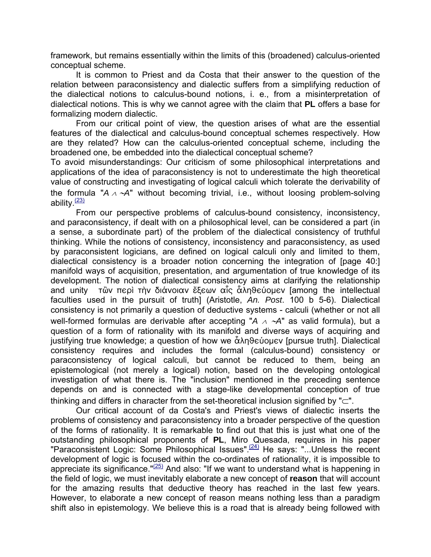framework, but remains essentially within the limits of this (broadened) calculus-oriented conceptual scheme.

It is common to Priest and da Costa that their answer to the question of the relation between paraconsistency and dialectic suffers from a simplifying reduction of the dialectical notions to calculus-bound notions, i. e., from a misinterpretation of dialectical notions. This is why we cannot agree with the claim that **PL** offers a base for formalizing modern dialectic.

From our critical point of view, the question arises of what are the essential features of the dialectical and calculus-bound conceptual schemes respectively. How are they related? How can the calculus-oriented conceptual scheme, including the broadened one, be embedded into the dialectical conceptual scheme?

To avoid misunderstandings: Our criticism of some philosophical interpretations and applications of the idea of paraconsistency is not to underestimate the high theoretical value of constructing and investigating of logical calculi which tolerate the derivability of the formula "*A* <sup>∧</sup> <sup>∼</sup>*A*" without becoming trivial, i.e., without loosing problem-solving ability $\frac{(23)}{2}$ 

From our perspective problems of calculus-bound consistency, inconsistency, and paraconsistency, if dealt with on a philosophical level, can be considered a part (in a sense, a subordinate part) of the problem of the dialectical consistency of truthful thinking. While the notions of consistency, inconsistency and paraconsistency, as used by paraconsistent logicians, are defined on logical calculi only and limited to them, dialectical consistency is a broader notion concerning the integration of [page 40:] manifold ways of acquisition, presentation, and argumentation of true knowledge of its development. The notion of dialectical consistency aims at clarifying the relationship and unity τὢν περὶ τὴν διάνοιαν ἔξεων αἷς ἇληθεύομεν [among the intellectual faculties used in the pursuit of truth] (Aristotle, *An. Post*. 100 b 5-6). Dialectical consistency is not primarily a question of deductive systems - calculi (whether or not all well-formed formulas are derivable after accepting "*A* <sup>∧</sup> <sup>∼</sup>*A*" as valid formula), but a question of a form of rationality with its manifold and diverse ways of acquiring and justifying true knowledge; a question of how we  $\hat{\alpha}$  $\lambda$ n $\theta$ eúouev [pursue truth]. Dialectical consistency requires and includes the formal (calculus-bound) consistency or paraconsistency of logical calculi, but cannot be reduced to them, being an epistemological (not merely a logical) notion, based on the developing ontological investigation of what there is. The "inclusion" mentioned in the preceding sentence depends on and is connected with a stage-like developmental conception of true thinking and differs in character from the set-theoretical inclusion signified by "⊂".

Our critical account of da Costa's and Priest's views of dialectic inserts the problems of consistency and paraconsistency into a broader perspective of the question of the forms of rationality. It is remarkable to find out that this is just what one of the outstanding philosophical proponents of **PL**, Miro Quesada, requires in his paper "Paraconsistent Logic: Some Philosophical Issues".<sup>(24)</sup> He says: "...Unless the recent development of logic is focused within the co-ordinates of rationality, it is impossible to appreciate its significance.  $\frac{n(25)}{2}$  And also: "If we want to understand what is happening in the field of logic, we must inevitably elaborate a new concept of **reason** that will account for the amazing results that deductive theory has reached in the last few years. However, to elaborate a new concept of reason means nothing less than a paradigm shift also in epistemology. We believe this is a road that is already being followed with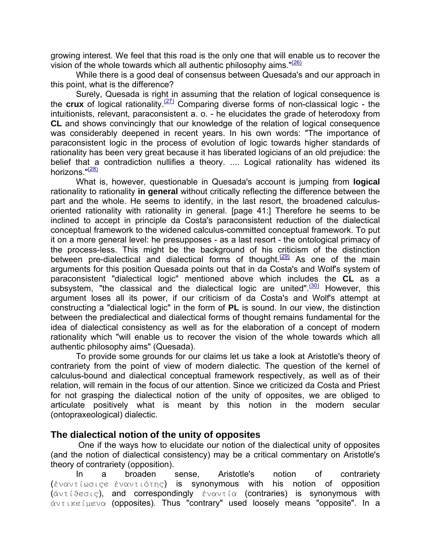growing interest. We feel that this road is the only one that will enable us to recover the vision of the whole towards which all authentic philosophy aims.  $\sqrt{26}$ 

While there is a good deal of consensus between Quesada's and our approach in this point, what is the difference?

Surely, Quesada is right in assuming that the relation of logical consequence is the **crux** of logical rationality.(27) Comparing diverse forms of non-classical logic - the intuitionists, relevant, paraconsistent a. o. - he elucidates the grade of heterodoxy from **CL** and shows convincingly that our knowledge of the relation of logical consequence was considerably deepened in recent years. In his own words: "The importance of paraconsistent logic in the process of evolution of logic towards higher standards of rationality has been very great because it has liberated logicians of an old prejudice: the belief that a contradiction nullifies a theory. .... Logical rationality has widened its horizons."<sup>(28)</sup>

What is, however, questionable in Quesada's account is jumping from **logical** rationality to rationality **in general** without critically reflecting the difference between the part and the whole. He seems to identify, in the last resort, the broadened calculusoriented rationality with rationality in general. [page 41:] Therefore he seems to be inclined to accept in principle da Costa's paraconsistent reduction of the dialectical conceptual framework to the widened calculus-committed conceptual framework. To put it on a more general level: he presupposes - as a last resort - the ontological primacy of the process-less. This might be the background of his criticism of the distinction between pre-dialectical and dialectical forms of thought.<sup> $(29)$ </sup> As one of the main arguments for this position Quesada points out that in da Costa's and Wolf's system of paraconsistent "dialectical logic" mentioned above which includes the **CL** as a subsystem, "the classical and the dialectical logic are united". $(30)$  However, this argument loses all its power, if our criticism of da Costa's and Wolf's attempt at constructing a "dialectical logic" in the form of **PL** is sound. In our view, the distinction between the predialectical and dialectical forms of thought remains fundamental for the idea of dialectical consistency as well as for the elaboration of a concept of modern rationality which "will enable us to recover the vision of the whole towards which all authentic philosophy aims" (Quesada).

 To provide some grounds for our claims let us take a look at Aristotle's theory of contrariety from the point of view of modern dialectic. The question of the kernel of calculus-bound and dialectical conceptual framework respectively, as well as of their relation, will remain in the focus of our attention. Since we criticized da Costa and Priest for not grasping the dialectical notion of the unity of opposites, we are obliged to articulate positively what is meant by this notion in the modern secular (ontopraxeological) dialectic.

## **The dialectical notion of the unity of opposites**

 One if the ways how to elucidate our notion of the dialectical unity of opposites (and the notion of dialectical consistency) may be a critical commentary on Aristotle's theory of contrariety (opposition).

 In a broaden sense, Aristotle's notion of contrariety (¦<"<J\TF4H, ¦<"<J4`J0H) is synonymous with his notion of opposition  $(\dot{\alpha} \vee \tau \wedge \theta \in \sigma \cup \varsigma)$ , and correspondingly  $\dot{\epsilon} \vee \alpha \vee \tau \wedge \alpha$  (contraries) is synonymous with  $\alpha$ <sub>VIIKE</sub> ( $\mu$ ev $\alpha$  (opposites). Thus "contrary" used loosely means "opposite". In a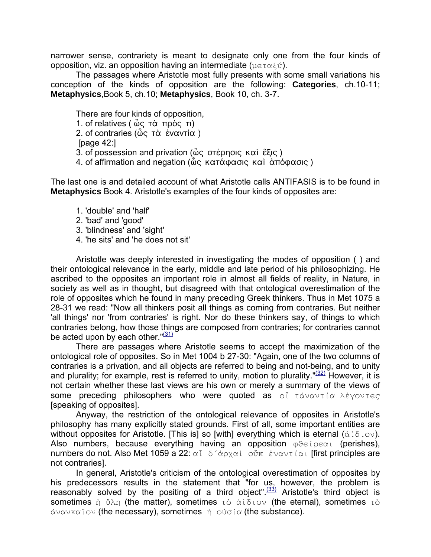narrower sense, contrariety is meant to designate only one from the four kinds of opposition, viz. an opposition having an intermediate ( $\mu \in \tau \alpha \xi \psi$ ).

The passages where Aristotle most fully presents with some small variations his conception of the kinds of opposition are the following: **Categories**, ch.10-11; **Metaphysics**,Book 5, ch.10; **Metaphysics**, Book 10, ch. 3-7.

There are four kinds of opposition, 1. of relatives ( ὦς τὰ πρός τι) 2. of contraries (ὦς τὰ ἐναντία) [page 42:] 3. of possession and privation ( $\hat{\omega}$ ς στέρησις καὶ ἕξις) 4. of affirmation and negation (ὦς κατάφασις καὶ ἀπόφασις)

The last one is and detailed account of what Aristotle calls ANTIFASIS is to be found in **Metaphysics** Book 4. Aristotle's examples of the four kinds of opposites are:

- 1. 'double' and 'half'
- 2. 'bad' and 'good'
- 3. 'blindness' and 'sight'
- 4. 'he sits' and 'he does not sit'

 Aristotle was deeply interested in investigating the modes of opposition ( ) and their ontological relevance in the early, middle and late period of his philosophizing. He ascribed to the opposites an important role in almost all fields of reality, in Nature, in society as well as in thought, but disagreed with that ontological overestimation of the role of opposites which he found in many preceding Greek thinkers. Thus in Met 1075 a 28-31 we read: "Now all thinkers posit all things as coming from contraries. But neither 'all things' nor 'from contraries' is right. Nor do these thinkers say, of things to which contraries belong, how those things are composed from contraries; for contraries cannot be acted upon by each other." $(31)$ 

 There are passages where Aristotle seems to accept the maximization of the ontological role of opposites. So in Met 1004 b 27-30: "Again, one of the two columns of contraries is a privation, and all objects are referred to being and not-being, and to unity and plurality; for example, rest is referred to unity, motion to plurality." $(32)$  However, it is not certain whether these last views are his own or merely a summary of the views of some preceding philosophers who were quoted as o<sup>f</sup> τάναντία λέγοντες [speaking of opposites].

Anyway, the restriction of the ontological relevance of opposites in Aristotle's philosophy has many explicitly stated grounds. First of all, some important entities are without opposites for Aristotle. [This is] so [with] everything which is eternal  $(\dot{\alpha} \times \delta \cos \theta)$ . Also numbers, because everything having an opposition  $\phi \theta \in \phi \circ \alpha$ , (perishes), numbers do not. Also Met 1059 a 22:  $\alpha \hat{i}$   $\delta' \dot{\alpha}$  $\beta \alpha \dot{\alpha}$   $\delta \dot{\beta}$   $\dot{\alpha}$  $\alpha \dot{\alpha}$   $\dot{\alpha}$   $\dot{\alpha}$   $\dot{\alpha}$  first principles are not contraries].

In general, Aristotle's criticism of the ontological overestimation of opposites by his predecessors results in the statement that "for us, however, the problem is reasonably solved by the positing of a third object".<sup>(33)</sup> Aristotle's third object is sometimes  $\dot{\eta}$   $\ddot{\upsilon}\lambda\eta$  (the matter), sometimes  $\tau\dot{\upsilon}$   $\dot{\alpha}i\delta\psi\delta\psi$  (the eternal), sometimes  $\tau\dot{\upsilon}$  $\dot{\alpha}$   $\alpha$   $\alpha$   $\alpha$   $\beta$   $\alpha$  (the necessary), sometimes  $\dot{\eta}$   $\alpha$   $\dot{\alpha}$  (the substance).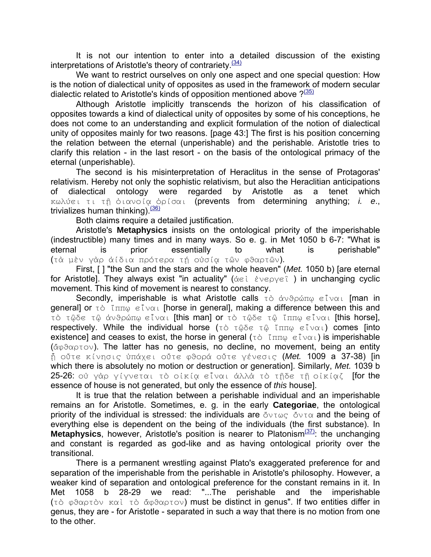It is not our intention to enter into a detailed discussion of the existing interpretations of Aristotle's theory of contrariety.<sup>(34)</sup>

We want to restrict ourselves on only one aspect and one special question: How is the notion of dialectical unity of opposites as used in the framework of modern secular dialectic related to Aristotle's kinds of opposition mentioned above  $?^{(35)}$ 

Although Aristotle implicitly transcends the horizon of his classification of opposites towards a kind of dialectical unity of opposites by some of his conceptions, he does not come to an understanding and explicit formulation of the notion of dialectical unity of opposites mainly for two reasons. [page 43:] The first is his position concerning the relation between the eternal (unperishable) and the perishable. Aristotle tries to clarify this relation - in the last resort - on the basis of the ontological primacy of the eternal (unperishable).

 The second is his misinterpretation of Heraclitus in the sense of Protagoras' relativism. Hereby not only the sophistic relativism, but also the Heraclitian anticipations of dialectical ontology were regarded by Aristotle as a tenet which Kωλύει τι τῆ ὁιανοία ὁρίσαι (prevents from determining anything; *i. e.*, trivializes human thinking).  $(36)$ 

Both claims require a detailed justification.

 Aristotle's **Metaphysics** insists on the ontological priority of the imperishable (indestructible) many times and in many ways. So e. g. in Met 1050 b 6-7: "What is eternal is prior essentially to what is perishable" (τὰ μὲν γὰρ ἀίδια πρότερα τή οὐσία τῶν φθαρτῶν).

First, [ ] "the Sun and the stars and the whole heaven" (*Met.* 1050 b) [are eternal for Aristotle]. They always exist "in actuality" ( $\alpha \in \mathbb{C}$   $\forall x \in \beta$  ) in unchanging cyclic movement. This kind of movement is nearest to constancy.

Secondly, imperishable is what Aristotle calls  $\tau \delta$   $\dot{\alpha} \nu \delta \rho \dot{\alpha} \pi \omega$  eliver [man in general] or  $\tau$  o  $\tilde{\tau}$   $\pi$ <sub>H</sub>  $\tilde{\theta}$   $\tilde{\epsilon}$  over [horse in general], making a difference between this and τὸ τῷδε τῷ ἀνθρώπῳ εἶναι [this man] or τὸ τῷδε τῷ ἴππῳ εἶναι [this horse], respectively. While the individual horse  $(\tau \circ \tau \circ \delta \circ \tau \circ \tau \circ \tau \circ \tau \circ \tau)$  comes [into existence] and ceases to exist, the horse in general ( $\tau \delta$  ( $\pi \pi \omega \in \Gamma \vee \alpha$ ) is imperishable  $(\check{\alpha} \varphi \Im \alpha \varphi \tau \circ \nu)$ . The latter has no genesis, no decline, no movement, being an entity  $\hat{\eta}$  oὔτε κίνησις υπάχει οὔτε φθορά οὔτε γένεσις (Met. 1009 a 37-38) [in which there is absolutely no motion or destruction or generation]. Similarly, *Met.* 1039 b 25-26: ού γάρ γίγνεται τὸ οἰκία εἶναι άλλὰ τὸ τῆδε τῆ οἰκίαζ [for the essence of house is not generated, but only the essence of *this* house].

It is true that the relation between a perishable individual and an imperishable remains an for Aristotle. Sometimes, e. g. in the early **Categoriae**, the ontological priority of the individual is stressed: the individuals are  $\delta v \tau \omega \varsigma \, \delta v \tau \alpha$  and the being of everything else is dependent on the being of the individuals (the first substance). In **Metaphysics**, however, Aristotle's position is nearer to Platonism<sup>(37)</sup>: the unchanging and constant is regarded as god-like and as having ontological priority over the transitional.

There is a permanent wrestling against Plato's exaggerated preference for and separation of the imperishable from the perishable in Aristotle's philosophy. However, a weaker kind of separation and ontological preference for the constant remains in it. In Met 1058 b 28-29 we read: "...The perishable and the imperishable (τὸ φθαρτὸν καὶ τὸ ἄφθαρτον) must be distinct in genus". If two entities differ in genus, they are - for Aristotle - separated in such a way that there is no motion from one to the other.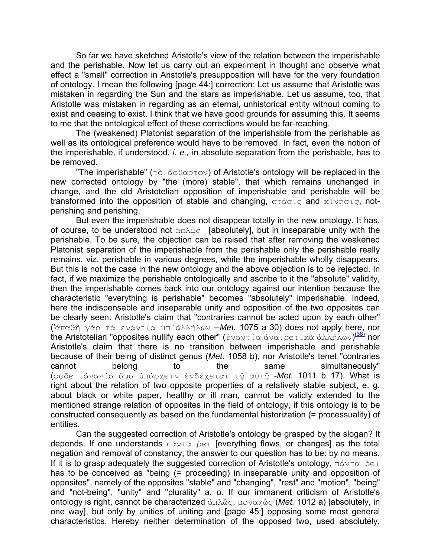So far we have sketched Aristotle's view of the relation between the imperishable and the perishable. Now let us carry out an experiment in thought and observe what effect a "small" correction in Aristotle's presupposition will have for the very foundation of ontology. I mean the following [page 44:] correction: Let us assume that Aristotle was mistaken in regarding the Sun and the stars as imperishable. Let us assume, too, that Aristotle was mistaken in regarding as an eternal, unhistorical entity without coming to exist and ceasing to exist. I think that we have good grounds for assuming this. It seems to me that the ontological effect of these corrections would be far-reaching.

The (weakened) Platonist separation of the imperishable from the perishable as well as its ontological preference would have to be removed. In fact, even the notion of the imperishable, if understood, *i. e.,* in absolute separation from the perishable, has to be removed.

"The imperishable" ( $\tau \circ \check{\alpha} \circ \theta \circ \tau \circ \check{\theta}$ ) of Aristotle's ontology will be replaced in the new corrected ontology by "the (more) stable", that which remains unchanged in change, and the old Aristotelian opposition of imperishable and perishable will be transformed into the opposition of stable and changing,  $\sigma\tau\acute{\alpha}\sigma\iota\epsilon$  and  $\kappa\widetilde{\iota}\nu\eta\sigma\iota\epsilon$ , notperishing and perishing.

But even the imperishable does not disappear totally in the new ontology. It has, of course, to be understood not  $\alpha \pi \lambda \hat{\omega}_S$  [absolutely], but in inseparable unity with the perishable. To be sure, the objection can be raised that after removing the weakened Platonist separation of the imperishable from the perishable only the perishable really remains, viz. perishable in various degrees, while the imperishable wholly disappears. But this is not the case in the new ontology and the above objection is to be rejected. In fact, if we maximize the perishable ontologically and ascribe to it the "absolute" validity, then the imperishable comes back into our ontology against our intention because the characteristic "everything is perishable" becomes "absolutely" imperishable. Indeed, here the indispensable and inseparable unity and opposition of the two opposites can be clearly seen. Aristotle's claim that "contraries cannot be acted upon by each other" ('ἀπαθή γὰρ τὰ ἐναντία ὑπ΄ἀλλήλων --*Met.* 1075 a 30) does not apply here, nor the Aristotelian "opposites nullify each other" (έναντία άναιρετικὰ ἀλλήλων)<sup>(38)</sup> nor Aristotle's claim that there is no transition between imperishable and perishable because of their being of distinct genus (*Met.* 1058 b), nor Aristotle's tenet "contraries cannot belong to the same simultaneously" (ούδε τάνανία άμα υπάρχειν ένδέχεται τῶ αὐτῶ -Met. 1011 b 17). What is right about the relation of two opposite properties of a relatively stable subject, e. g. about black or white paper, healthy or ill man, cannot be validly extended to the mentioned strange relation of opposites in the field of ontology, if this ontology is to be constructed consequently as based on the fundamental historization (= processuality) of entities.

Can the suggested correction of Aristotle's ontology be grasped by the slogan? It depends. If one understands  $\pi\acute{\alpha}v\tau\alpha$  pet [everything flows, or changes] as the total negation and removal of constancy, the answer to our question has to be: by no means. If it is to grasp adequately the suggested correction of Aristotle's ontology,  $\pi\acute{\alpha}\nu\tau\alpha$   $\dot{\beta}\epsilon\tau$ has to be conceived as "being (= proceeding) in inseparable unity and opposition of opposites", namely of the opposites "stable" and "changing", "rest" and "motion", "being" and "not-being", "unity" and "plurality" a. o. If our immanent criticism of Aristotle's ontology is right, cannot be characterized ἀπλῶς, μοναχῶς (Met. 1012 a) [absolutely, in one way], but only by unities of uniting and [page 45:] opposing some most general characteristics. Hereby neither determination of the opposed two, used absolutely,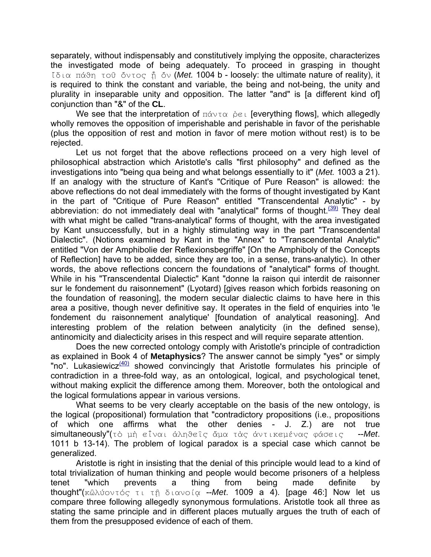separately, without indispensably and constitutively implying the opposite, characterizes the investigated mode of being adequately. To proceed in grasping in thought Ç\*4" BVh0 J@Ø Ð<J@H ¹ Ð< (*Met.* 1004 b - loosely: the ultimate nature of reality), it is required to think the constant and variable, the being and not-being, the unity and plurality in inseparable unity and opposition. The latter "and" is [a different kind of] conjunction than "&" of the **CL**.

We see that the interpretation of  $\pi\acute{\alpha}v\tau\alpha$  pet [everything flows], which allegedly wholly removes the opposition of imperishable and perishable in favor of the perishable (plus the opposition of rest and motion in favor of mere motion without rest) is to be rejected.

Let us not forget that the above reflections proceed on a very high level of philosophical abstraction which Aristotle's calls "first philosophy" and defined as the investigations into "being qua being and what belongs essentially to it" (*Met.* 1003 a 21). If an analogy with the structure of Kant's "Critique of Pure Reason" is allowed: the above reflections do not deal immediately with the forms of thought investigated by Kant in the part of "Critique of Pure Reason" entitled "Transcendental Analytic" - by abbreviation: do not immediately deal with "analytical" forms of thought.<sup> $(39)$ </sup> They deal with what might be called "trans-analytical' forms of thought, with the area investigated by Kant unsuccessfully, but in a highly stimulating way in the part "Transcendental Dialectic". (Notions examined by Kant in the "Annex" to "Transcendental Analytic" entitled "Von der Amphibolie der Reflexionsbegriffe" [On the Amphiboly of the Concepts of Reflection] have to be added, since they are too, in a sense, trans-analytic). In other words, the above reflections concern the foundations of "analytical" forms of thought. While in his "Transcendental Dialectic" Kant "donne la raison qui interdit de raisonner sur le fondement du raisonnement" (Lyotard) [gives reason which forbids reasoning on the foundation of reasoning], the modern secular dialectic claims to have here in this area a positive, though never definitive say. It operates in the field of enquiries into 'le fondement du raisonnement analytique' [foundation of analytical reasoning]. And interesting problem of the relation between analyticity (in the defined sense), antinomicity and dialecticity arises in this respect and will require separate attention.

Does the new corrected ontology comply with Aristotle's principle of contradiction as explained in Book 4 of **Metaphysics**? The answer cannot be simply "yes" or simply "no". Lukasiewicz $\frac{(40)}{9}$  showed convincingly that Aristotle formulates his principle of contradiction in a three-fold way, as an ontological, logical, and psychological tenet, without making explicit the difference among them. Moreover, both the ontological and the logical formulations appear in various versions.

What seems to be very clearly acceptable on the basis of the new ontology, is the logical (propositional) formulation that "contradictory propositions (i.e., propositions of which one affirms what the other denies - J. Z.) are not true simultaneously" (τὸ μὴ εἶναι ἀληθεῖς ἄμα τὰς ἀντικεμένας φάσεις --Met. 1011 b 13-14). The problem of logical paradox is a special case which cannot be generalized.

 Aristotle is right in insisting that the denial of this principle would lead to a kind of total trivialization of human thinking and people would become prisoners of a helpless tenet "which prevents a thing from being made definite by thought"(κῶλύοντός τι τῆ διανοία --*Met*. 1009 a 4). [page 46:] Now let us compare three following allegedly synonymous formulations. Aristotle took all three as stating the same principle and in different places mutually argues the truth of each of them from the presupposed evidence of each of them.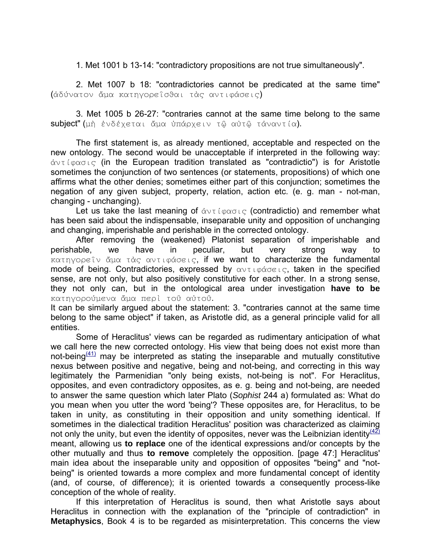1. Met 1001 b 13-14: "contradictory propositions are not true simultaneously".

2. Met 1007 b 18: "contradictories cannot be predicated at the same time" (άδύνατον ἄμα κατηγορεΐσθαι τὰς αντιφάσεις)

3. Met 1005 b 26-27: "contraries cannot at the same time belong to the same subject" (μὴ ἐνδέχεται ἄμα ὑπάρχειν τῷ αὐτῷ τάναντία).

The first statement is, as already mentioned, acceptable and respected on the new ontology. The second would be unacceptable if interpreted in the following way:  $\dot{\alpha}$ <sub>V</sub> $\tau$  ( $\varphi$  $\alpha$  $\sigma$ <sub>1</sub> $\varsigma$  (in the European tradition translated as "contradictio") is for Aristotle sometimes the conjunction of two sentences (or statements, propositions) of which one affirms what the other denies; sometimes either part of this conjunction; sometimes the negation of any given subject, property, relation, action etc. (e. g. man - not-man, changing - unchanging).

Let us take the last meaning of  $\Delta v\tau$  (packing (contradictio) and remember what has been said about the indispensable, inseparable unity and opposition of unchanging and changing, imperishable and perishable in the corrected ontology.

After removing the (weakened) Platonist separation of imperishable and perishable, we have in peculiar, but very strong way to κατηγορεΐν ἄμα τὰς αντιφάσεις, if we want to characterize the fundamental mode of being. Contradictories, expressed by  $\alpha$ <sub>VII</sub>  $\beta$  $\alpha$ <sub>VEI</sub>, taken in the specified sense, are not only, but also positively constitutive for each other. In a strong sense, they not only can, but in the ontological area under investigation **have to be** κατηγορούμενα ἄμα περὶ τοῦ αὐτοῦ.

It can be similarly argued about the statement: 3. "contraries cannot at the same time belong to the same object" if taken, as Aristotle did, as a general principle valid for all entities.

Some of Heraclitus' views can be regarded as rudimentary anticipation of what we call here the new corrected ontology. His view that being does not exist more than not-being $(41)$  may be interpreted as stating the inseparable and mutually constitutive nexus between positive and negative, being and not-being, and correcting in this way legitimately the Parmenidian "only being exists, not-being is not". For Heraclitus, opposites, and even contradictory opposites, as e. g. being and not-being, are needed to answer the same question which later Plato (*Sophist* 244 a) formulated as: What do you mean when you utter the word 'being'? These opposites are, for Heraclitus, to be taken in unity, as constituting in their opposition and unity something identical. If sometimes in the dialectical tradition Heraclitus' position was characterized as claiming not only the unity, but even the identity of opposites, never was the Leibnizian identity  $\frac{(42)}{2}$ meant, allowing us **to replace** one of the identical expressions and/or concepts by the other mutually and thus **to remove** completely the opposition. [page 47:] Heraclitus' main idea about the inseparable unity and opposition of opposites "being" and "notbeing" is oriented towards a more complex and more fundamental concept of identity (and, of course, of difference); it is oriented towards a consequently process-like conception of the whole of reality.

 If this interpretation of Heraclitus is sound, then what Aristotle says about Heraclitus in connection with the explanation of the "principle of contradiction" in **Metaphysics**, Book 4 is to be regarded as misinterpretation. This concerns the view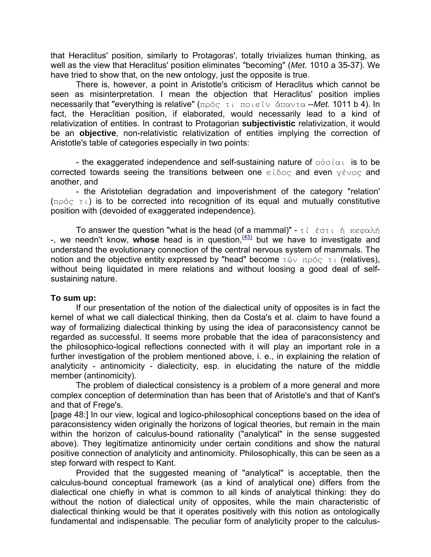that Heraclitus' position, similarly to Protagoras', totally trivializes human thinking, as well as the view that Heraclitus' position eliminates "becoming" (*Met.* 1010 a 35-37). We have tried to show that, on the new ontology, just the opposite is true.

There is, however, a point in Aristotle's criticism of Heraclitus which cannot be seen as misinterpretation. I mean the objection that Heraclitus' position implies necessarily that "everything is relative" (πρός τι ποιεΐν ἄπαντα --Met. 1011 b 4). In fact, the Heraclitian position, if elaborated, would necessarily lead to a kind of relativization of entities. In contrast to Protagorian **subjectivistic** relativization, it would be an **objective**, non-relativistic relativization of entities implying the correction of Aristotle's table of categories especially in two points:

- the exaggerated independence and self-sustaining nature of  $\sigma\psi\sigma(\alpha)$  is to be corrected towards seeing the transitions between one  $\epsilon i \delta o \in \mathbb{R}$  and even  $\gamma \epsilon v o \in \mathbb{R}$  and another, and

 - the Aristotelian degradation and impoverishment of the category "relation'  $(n \times \tau)$  is to be corrected into recognition of its equal and mutually constitutive position with (devoided of exaggerated independence).

To answer the question "what is the head (of a mammal)" -  $\tau i$   $\dot{\epsilon}$   $\sigma \tau i$   $\dot{\eta}$   $\kappa \epsilon \varphi \alpha \lambda \acute{\eta}$ -, we needn't know, whose head is in question, <sup>(43)</sup> but we have to investigate and understand the evolutionary connection of the central nervous system of mammals. The notion and the objective entity expressed by "head" become  $\tau \hat{\omega} \vee \tau \rho \varphi \in \tau$  (relatives), without being liquidated in mere relations and without loosing a good deal of selfsustaining nature.

## **To sum up:**

 If our presentation of the notion of the dialectical unity of opposites is in fact the kernel of what we call dialectical thinking, then da Costa's et al. claim to have found a way of formalizing dialectical thinking by using the idea of paraconsistency cannot be regarded as successful. It seems more probable that the idea of paraconsistency and the philosophico-logical reflections connected with it will play an important role in a further investigation of the problem mentioned above, i. e., in explaining the relation of analyticity - antinomicity - dialecticity, esp. in elucidating the nature of the middle member (antinomicity).

 The problem of dialectical consistency is a problem of a more general and more complex conception of determination than has been that of Aristotle's and that of Kant's and that of Frege's.

[page 48:] In our view, logical and logico-philosophical conceptions based on the idea of paraconsistency widen originally the horizons of logical theories, but remain in the main within the horizon of calculus-bound rationality ("analytical" in the sense suggested above). They legitimatize antinomicity under certain conditions and show the natural positive connection of analyticity and antinomicity. Philosophically, this can be seen as a step forward with respect to Kant.

 Provided that the suggested meaning of "analytical" is acceptable, then the calculus-bound conceptual framework (as a kind of analytical one) differs from the dialectical one chiefly in what is common to all kinds of analytical thinking: they do without the notion of dialectical unity of opposites, while the main characteristic of dialectical thinking would be that it operates positively with this notion as ontologically fundamental and indispensable. The peculiar form of analyticity proper to the calculus-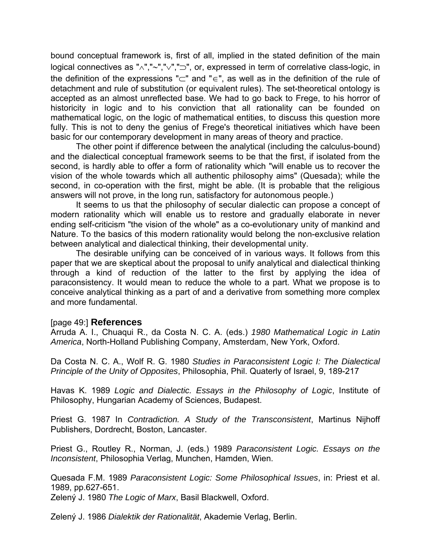bound conceptual framework is, first of all, implied in the stated definition of the main logical connectives as "∧","∼","∨","⊃", or, expressed in term of correlative class-logic, in the definition of the expressions "⊂" and "∈", as well as in the definition of the rule of detachment and rule of substitution (or equivalent rules). The set-theoretical ontology is accepted as an almost unreflected base. We had to go back to Frege, to his horror of historicity in logic and to his conviction that all rationality can be founded on mathematical logic, on the logic of mathematical entities, to discuss this question more fully. This is not to deny the genius of Frege's theoretical initiatives which have been basic for our contemporary development in many areas of theory and practice.

 The other point if difference between the analytical (including the calculus-bound) and the dialectical conceptual framework seems to be that the first, if isolated from the second, is hardly able to offer a form of rationality which "will enable us to recover the vision of the whole towards which all authentic philosophy aims" (Quesada); while the second, in co-operation with the first, might be able. (It is probable that the religious answers will not prove, in the long run, satisfactory for autonomous people.)

 It seems to us that the philosophy of secular dialectic can propose a concept of modern rationality which will enable us to restore and gradually elaborate in never ending self-criticism "the vision of the whole" as a co-evolutionary unity of mankind and Nature. To the basics of this modern rationality would belong the non-exclusive relation between analytical and dialectical thinking, their developmental unity.

 The desirable unifying can be conceived of in various ways. It follows from this paper that we are skeptical about the proposal to unify analytical and dialectical thinking through a kind of reduction of the latter to the first by applying the idea of paraconsistency. It would mean to reduce the whole to a part. What we propose is to conceive analytical thinking as a part of and a derivative from something more complex and more fundamental.

## [page 49:] **References**

Arruda A. I., Chuaqui R., da Costa N. C. A. (eds.) *1980 Mathematical Logic in Latin America*, North-Holland Publishing Company, Amsterdam, New York, Oxford.

Da Costa N. C. A., Wolf R. G. 1980 *Studies in Paraconsistent Logic I: The Dialectical Principle of the Unity of Opposites*, Philosophia, Phil. Quaterly of Israel, 9, 189-217

Havas K. 1989 *Logic and Dialectic. Essays in the Philosophy of Logic*, Institute of Philosophy, Hungarian Academy of Sciences, Budapest.

Priest G. 1987 In *Contradiction. A Study of the Transconsistent*, Martinus Nijhoff Publishers, Dordrecht, Boston, Lancaster.

Priest G., Routley R., Norman, J. (eds.) 1989 *Paraconsistent Logic. Essays on the Inconsistent*, Philosophia Verlag, Munchen, Hamden, Wien.

Quesada F.M. 1989 *Paraconsistent Logic: Some Philosophical Issues*, in: Priest et al. 1989, pp.627-651.

Zelený J. 1980 *The Logic of Marx*, Basil Blackwell, Oxford.

Zelený J. 1986 *Dialektik der Rationalität*, Akademie Verlag, Berlin.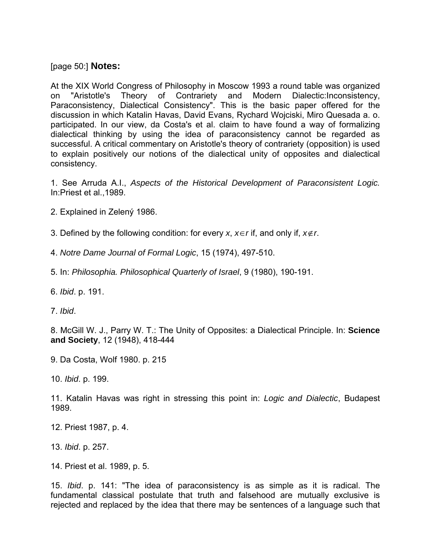[page 50:] **Notes:**

At the XIX World Congress of Philosophy in Moscow 1993 a round table was organized on "Aristotle's Theory of Contrariety and Modern Dialectic:Inconsistency, Paraconsistency, Dialectical Consistency". This is the basic paper offered for the discussion in which Katalin Havas, David Evans, Rychard Wojciski, Miro Quesada a. o. participated. In our view, da Costa's et al. claim to have found a way of formalizing dialectical thinking by using the idea of paraconsistency cannot be regarded as successful. A critical commentary on Aristotle's theory of contrariety (opposition) is used to explain positively our notions of the dialectical unity of opposites and dialectical consistency.

1. See Arruda A.I., *Aspects of the Historical Development of Paraconsistent Logic.* In:Priest et al.,1989.

2. Explained in Zelený 1986.

3. Defined by the following condition: for every *x*, *x*∈*r* if, and only if, *x*∉*r*.

4. *Notre Dame Journal of Formal Logic*, 15 (1974), 497-510.

5. In: *Philosophia. Philosophical Quarterly of Israel*, 9 (1980), 190-191.

6. *Ibid*. p. 191.

7. *Ibid*.

8. McGill W. J., Parry W. T.: The Unity of Opposites: a Dialectical Principle. In: **Science and Society**, 12 (1948), 418-444

9. Da Costa, Wolf 1980. p. 215

10. *Ibid*. p. 199.

11. Katalin Havas was right in stressing this point in: *Logic and Dialectic*, Budapest 1989.

12. Priest 1987, p. 4.

13. *Ibid*. p. 257.

14. Priest et al. 1989, p. 5.

15. *Ibid*. p. 141: "The idea of paraconsistency is as simple as it is radical. The fundamental classical postulate that truth and falsehood are mutually exclusive is rejected and replaced by the idea that there may be sentences of a language such that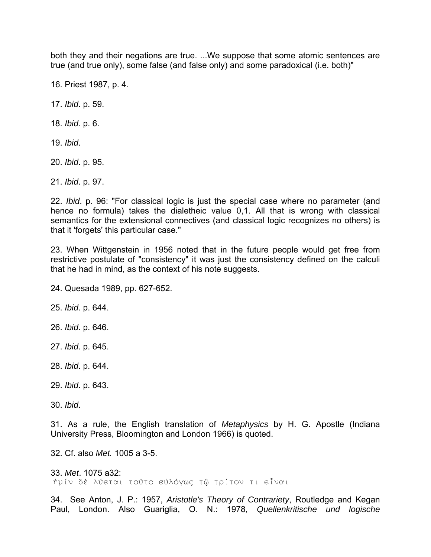both they and their negations are true. ...We suppose that some atomic sentences are true (and true only), some false (and false only) and some paradoxical (i.e. both)"

16. Priest 1987, p. 4.

17. *Ibid*. p. 59.

18. *Ibid*. p. 6.

19. *Ibid*.

20. *Ibid*. p. 95.

21. *Ibid*. p. 97.

22. *Ibid*. p. 96: "For classical logic is just the special case where no parameter (and hence no formula) takes the dialetheic value 0,1. All that is wrong with classical semantics for the extensional connectives (and classical logic recognizes no others) is that it 'forgets' this particular case."

23. When Wittgenstein in 1956 noted that in the future people would get free from restrictive postulate of "consistency" it was just the consistency defined on the calculi that he had in mind, as the context of his note suggests.

24. Quesada 1989, pp. 627-652.

25. *Ibid*. p. 644.

26. *Ibid*. p. 646.

27. *Ibid*. p. 645.

28. *Ibid*. p. 644.

29. *Ibid*. p. 643.

30. *Ibid*.

31. As a rule, the English translation of *Metaphysics* by H. G. Apostle (Indiana University Press, Bloomington and London 1966) is quoted.

32. Cf. also *Met.* 1005 a 3-5.

33. *Met*. 1075 a32: ήμίν δὲ λύεται τοῦτο εὐλόγως τῷ τρίτον τι εἶναι

34. See Anton, J. P.: 1957, *Aristotle's Theory of Contrariety*, Routledge and Kegan Paul, London. Also Guariglia, O. N.: 1978, *Quellenkritische und logische*